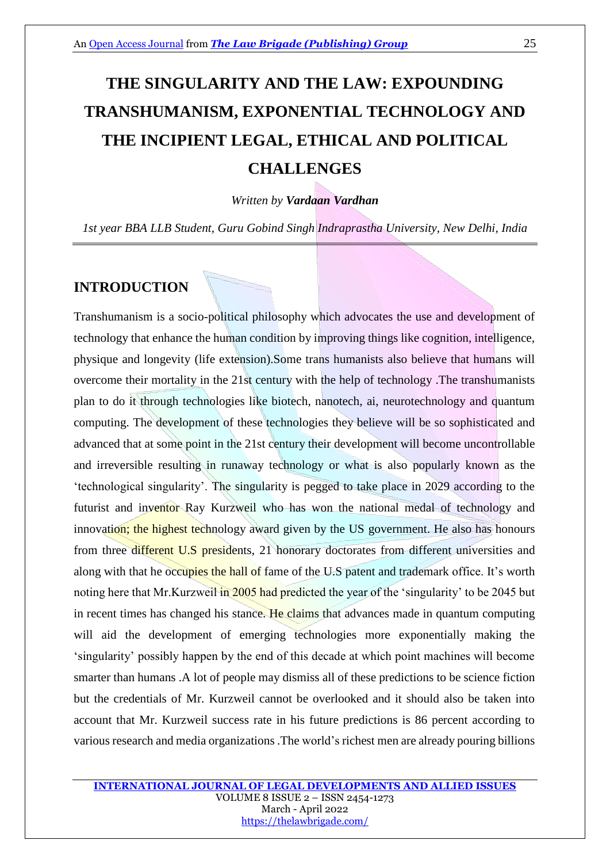# **THE SINGULARITY AND THE LAW: EXPOUNDING TRANSHUMANISM, EXPONENTIAL TECHNOLOGY AND THE INCIPIENT LEGAL, ETHICAL AND POLITICAL CHALLENGES**

*Written by Vardaan Vardhan*

*1st year BBA LLB Student, Guru Gobind Singh Indraprastha University, New Delhi, India*

### **INTRODUCTION**

Transhumanism is a socio-political philosophy which advocates the use and development of technology that enhance the human condition by improving things like cognition, intelligence, physique and longevity (life extension).Some trans humanists also believe that humans will overcome their mortality in the 21st century with the help of technology .The transhumanists plan to do it through technologies like biotech, nanotech, ai, neurotechnology and quantum computing. The development of these technologies they believe will be so sophisticated and advanced that at some point in the 21st century their development will become uncontrollable and irreversible resulting in runaway technology or what is also popularly known as the 'technological singularity'. The singularity is pegged to take place in 2029 according to the futurist and inventor Ray Kurzweil who has won the national medal of technology and innovation; the highest technology award given by the US government. He also has honours from three different U.S presidents, 21 honorary doctorates from different universities and along with that he occupies the hall of fame of the U.S patent and trademark office. It's worth noting here that Mr. Kurzweil in 2005 had predicted the year of the 'singularity' to be 2045 but in recent times has changed his stance. He claims that advances made in quantum computing will aid the development of emerging technologies more exponentially making the 'singularity' possibly happen by the end of this decade at which point machines will become smarter than humans .A lot of people may dismiss all of these predictions to be science fiction but the credentials of Mr. Kurzweil cannot be overlooked and it should also be taken into account that Mr. Kurzweil success rate in his future predictions is 86 percent according to various research and media organizations .The world's richest men are already pouring billions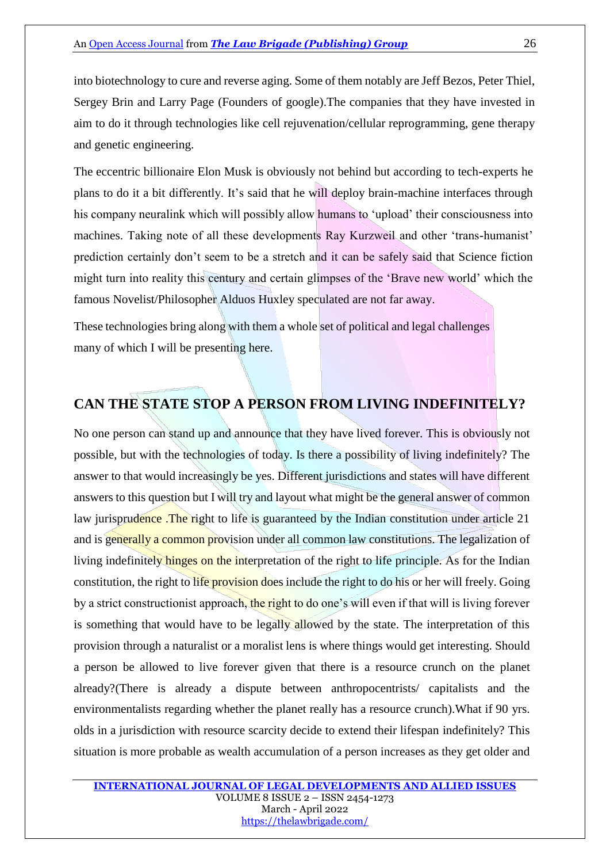into biotechnology to cure and reverse aging. Some of them notably are Jeff Bezos, Peter Thiel, Sergey Brin and Larry Page (Founders of google).The companies that they have invested in aim to do it through technologies like cell rejuvenation/cellular reprogramming, gene therapy and genetic engineering.

The eccentric billionaire Elon Musk is obviously not behind but according to tech-experts he plans to do it a bit differently. It's said that he will deploy brain-machine interfaces through his company neuralink which will possibly allow humans to 'upload' their consciousness into machines. Taking note of all these developments Ray Kurzweil and other 'trans-humanist' prediction certainly don't seem to be a stretch and it can be safely said that Science fiction might turn into reality this century and certain glimpses of the 'Brave new world' which the famous Novelist/Philosopher Alduos Huxley speculated are not far away.

These technologies bring along with them a whole set of political and legal challenges many of which I will be presenting here.

## **CAN THE STATE STOP A PERSON FROM LIVING INDEFINITELY?**

No one person can stand up and announce that they have lived forever. This is obviously not possible, but with the technologies of today. Is there a possibility of living indefinitely? The answer to that would increasingly be yes. Different jurisdictions and states will have different answers to this question but I will try and layout what might be the general answer of common law jurisprudence. The right to life is guaranteed by the Indian constitution under article 21 and is generally a common provision under all common law constitutions. The legalization of living indefinitely hinges on the interpretation of the right to life principle. As for the Indian constitution, the right to life provision does include the right to do his or her will freely. Going by a strict constructionist approach, the right to do one's will even if that will is living forever is something that would have to be legally allowed by the state. The interpretation of this provision through a naturalist or a moralist lens is where things would get interesting. Should a person be allowed to live forever given that there is a resource crunch on the planet already?(There is already a dispute between anthropocentrists/ capitalists and the environmentalists regarding whether the planet really has a resource crunch).What if 90 yrs. olds in a jurisdiction with resource scarcity decide to extend their lifespan indefinitely? This situation is more probable as wealth accumulation of a person increases as they get older and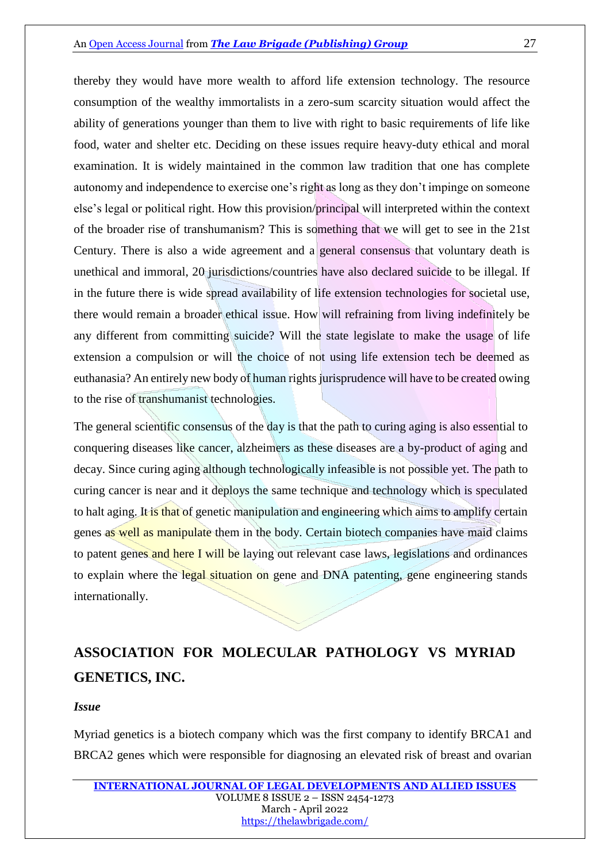thereby they would have more wealth to afford life extension technology. The resource consumption of the wealthy immortalists in a zero-sum scarcity situation would affect the ability of generations younger than them to live with right to basic requirements of life like food, water and shelter etc. Deciding on these issues require heavy-duty ethical and moral examination. It is widely maintained in the common law tradition that one has complete autonomy and independence to exercise one's right as long as they don't impinge on someone else's legal or political right. How this provision/principal will interpreted within the context of the broader rise of transhumanism? This is something that we will get to see in the 21st Century. There is also a wide agreement and a general consensus that voluntary death is unethical and immoral, 20 jurisdictions/countries have also declared suicide to be illegal. If in the future there is wide spread availability of life extension technologies for societal use, there would remain a broader ethical issue. How will refraining from living indefinitely be any different from committing suicide? Will the state legislate to make the usage of life extension a compulsion or will the choice of not using life extension tech be deemed as euthanasia? An entirely new body of human rights jurisprudence will have to be created owing to the rise of transhumanist technologies.

The general scientific consensus of the day is that the path to curing aging is also essential to conquering diseases like cancer, alzheimers as these diseases are a by-product of aging and decay. Since curing aging although technologically infeasible is not possible yet. The path to curing cancer is near and it deploys the same technique and technology which is speculated to halt aging. It is that of genetic manipulation and engineering which aims to amplify certain genes as well as manipulate them in the body. Certain biotech companies have maid claims to patent genes and here I will be laying out relevant case laws, legislations and ordinances to explain where the legal situation on gene and DNA patenting, gene engineering stands internationally.

# **ASSOCIATION FOR MOLECULAR PATHOLOGY VS MYRIAD GENETICS, INC.**

#### *Issue*

Myriad genetics is a biotech company which was the first company to identify BRCA1 and BRCA2 genes which were responsible for diagnosing an elevated risk of breast and ovarian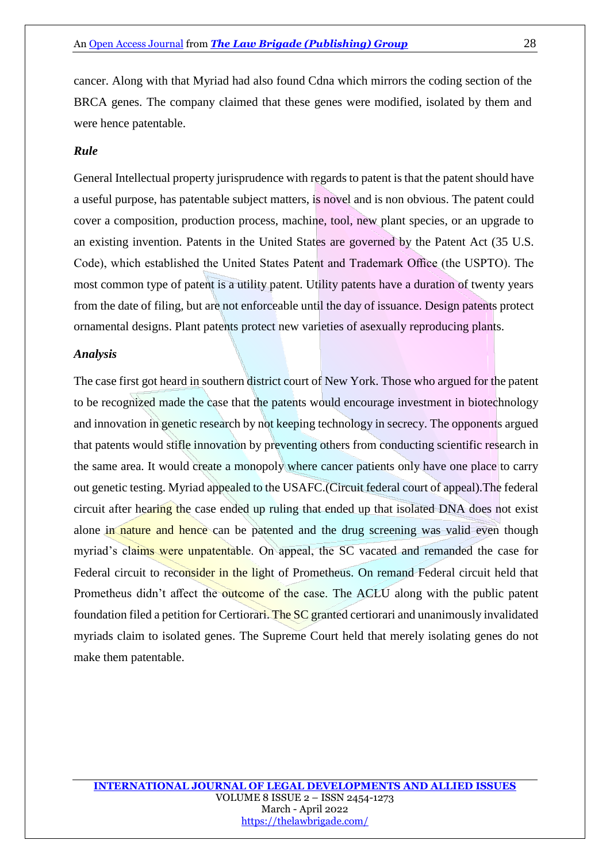cancer. Along with that Myriad had also found Cdna which mirrors the coding section of the BRCA genes. The company claimed that these genes were modified, isolated by them and were hence patentable.

### *Rule*

General Intellectual property jurisprudence with regards to patent is that the patent should have a useful purpose, has patentable subject matters, is novel and is non obvious. The patent could cover a composition, production process, machine, tool, new plant species, or an upgrade to an existing invention. Patents in the United States are governed by the Patent Act (35 U.S. Code), which established the United States Patent and Trademark Office (the USPTO). The most common type of patent is a utility patent. Utility patents have a duration of twenty years from the date of filing, but are not enforceable until the day of issuance. Design patents protect ornamental designs. Plant patents protect new varieties of asexually reproducing plants.

#### *Analysis*

The case first got heard in southern district court of New York. Those who argued for the patent to be recognized made the case that the patents would encourage investment in biotechnology and innovation in genetic research by not keeping technology in secrecy. The opponents argued that patents would stifle innovation by preventing others from conducting scientific research in the same area. It would create a monopoly where cancer patients only have one place to carry out genetic testing. Myriad appealed to the USAFC.(Circuit federal court of appeal).The federal circuit after hearing the case ended up ruling that ended up that isolated DNA does not exist alone in nature and hence can be patented and the drug screening was valid even though myriad's claims were unpatentable. On appeal, the SC vacated and remanded the case for Federal circuit to reconsider in the light of Prometheus. On remand Federal circuit held that Prometheus didn't affect the outcome of the case. The ACLU along with the public patent foundation filed a petition for Certiorari. The SC granted certiorari and unanimously invalidated myriads claim to isolated genes. The Supreme Court held that merely isolating genes do not make them patentable.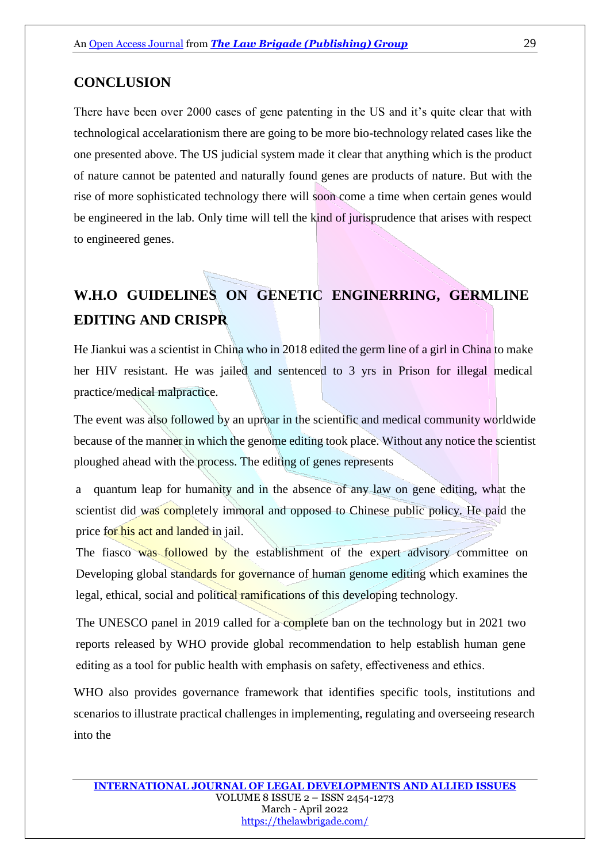# **CONCLUSION**

There have been over 2000 cases of gene patenting in the US and it's quite clear that with technological accelarationism there are going to be more bio-technology related cases like the one presented above. The US judicial system made it clear that anything which is the product of nature cannot be patented and naturally found genes are products of nature. But with the rise of more sophisticated technology there will soon come a time when certain genes would be engineered in the lab. Only time will tell the kind of jurisprudence that arises with respect to engineered genes.

# **W.H.O GUIDELINES ON GENETIC ENGINERRING, GERMLINE EDITING AND CRISPR**

He Jiankui was a scientist in China who in 2018 edited the germ line of a girl in China to make her HIV resistant. He was jailed and sentenced to 3 yrs in Prison for illegal medical practice/medical malpractice.

The event was also followed by an uproar in the scientific and medical community worldwide because of the manner in which the genome editing took place. Without any notice the scientist ploughed ahead with the process. The editing of genes represents

a quantum leap for humanity and in the absence of any law on gene editing, what the scientist did was completely immoral and opposed to Chinese public policy. He paid the price for his act and landed in jail.

The fiasco was followed by the establishment of the expert advisory committee on Developing global standards for governance of human genome editing which examines the legal, ethical, social and political ramifications of this developing technology.

The UNESCO panel in 2019 called for a complete ban on the technology but in 2021 two reports released by WHO provide global recommendation to help establish human gene editing as a tool for public health with emphasis on safety, effectiveness and ethics.

WHO also provides governance framework that identifies specific tools, institutions and scenarios to illustrate practical challenges in implementing, regulating and overseeing research into the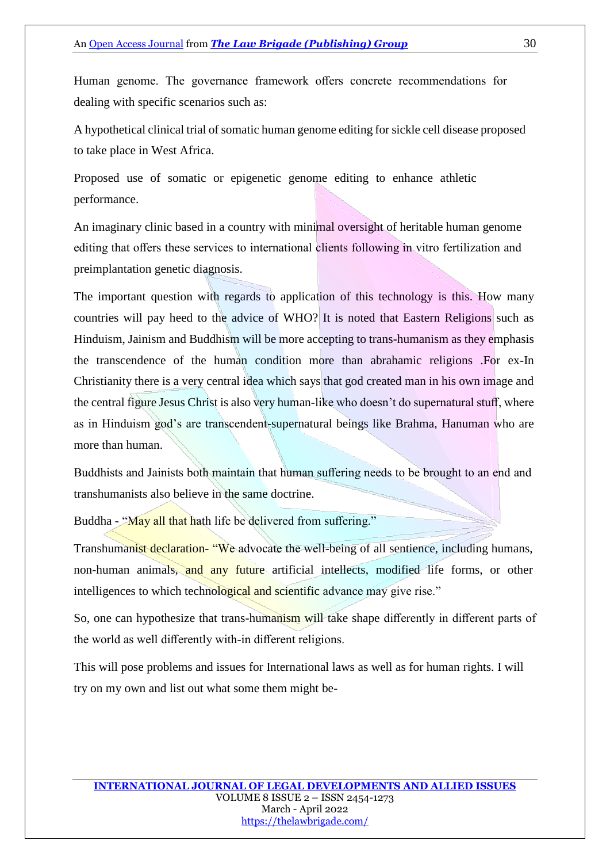Human genome. The governance framework offers concrete recommendations for dealing with specific scenarios such as:

A hypothetical clinical trial of somatic human genome editing for sickle cell disease proposed to take place in West Africa.

Proposed use of somatic or epigenetic genome editing to enhance athletic performance.

An imaginary clinic based in a country with minimal oversight of heritable human genome editing that offers these services to international clients following in vitro fertilization and preimplantation genetic diagnosis.

The important question with regards to application of this technology is this. How many countries will pay heed to the advice of WHO? It is noted that Eastern Religions such as Hinduism, Jainism and Buddhism will be more accepting to trans-humanism as they emphasis the transcendence of the human condition more than abrahamic religions .For ex-In Christianity there is a very central idea which says that god created man in his own image and the central figure Jesus Christ is also very human-like who doesn't do supernatural stuff, where as in Hinduism god's are transcendent-supernatural beings like Brahma, Hanuman who are more than human.

Buddhists and Jainists both maintain that human suffering needs to be brought to an end and transhumanists also believe in the same doctrine.

Buddha - "May all that hath life be delivered from suffering."

Transhumanist declaration- "We advocate the well-being of all sentience, including humans, non-human animals, and any future artificial intellects, modified life forms, or other intelligences to which technological and scientific advance may give rise."

So, one can hypothesize that trans-humanism will take shape differently in different parts of the world as well differently with-in different religions.

This will pose problems and issues for International laws as well as for human rights. I will try on my own and list out what some them might be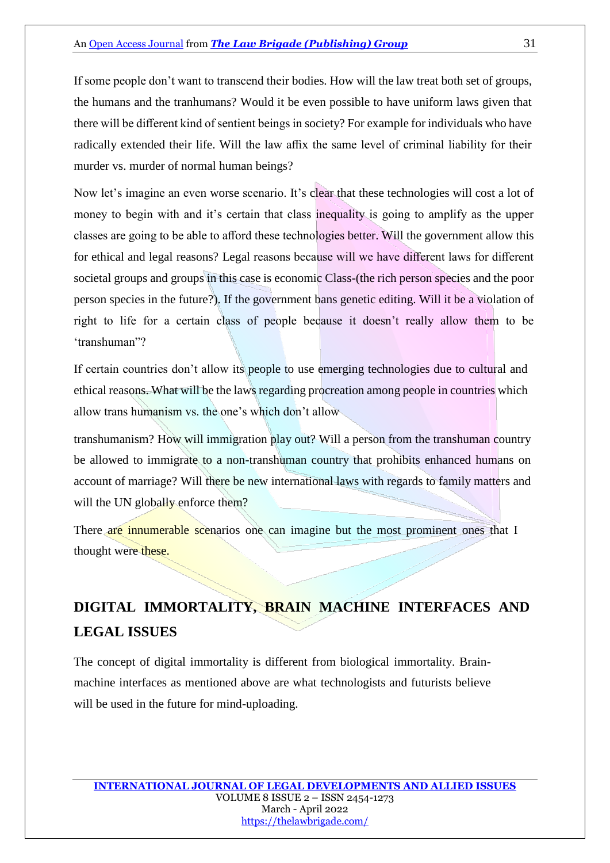If some people don't want to transcend their bodies. How will the law treat both set of groups, the humans and the tranhumans? Would it be even possible to have uniform laws given that there will be different kind of sentient beings in society? For example for individuals who have radically extended their life. Will the law affix the same level of criminal liability for their murder vs. murder of normal human beings?

Now let's imagine an even worse scenario. It's clear that these technologies will cost a lot of money to begin with and it's certain that class inequality is going to amplify as the upper classes are going to be able to afford these technologies better. Will the government allow this for ethical and legal reasons? Legal reasons because will we have different laws for different societal groups and groups in this case is economic Class-(the rich person species and the poor person species in the future?). If the government bans genetic editing. Will it be a violation of right to life for a certain class of people because it doesn't really allow them to be 'transhuman"?

If certain countries don't allow its people to use emerging technologies due to cultural and ethical reasons. What will be the laws regarding procreation among people in countries which allow trans humanism vs. the one's which don't allow

transhumanism? How will immigration play out? Will a person from the transhuman country be allowed to immigrate to a non-transhuman country that prohibits enhanced humans on account of marriage? Will there be new international laws with regards to family matters and will the UN globally enforce them?

There are innumerable scenarios one can imagine but the most prominent ones that I thought were these.

# **DIGITAL IMMORTALITY, BRAIN MACHINE INTERFACES AND LEGAL ISSUES**

The concept of digital immortality is different from biological immortality. Brainmachine interfaces as mentioned above are what technologists and futurists believe will be used in the future for mind-uploading.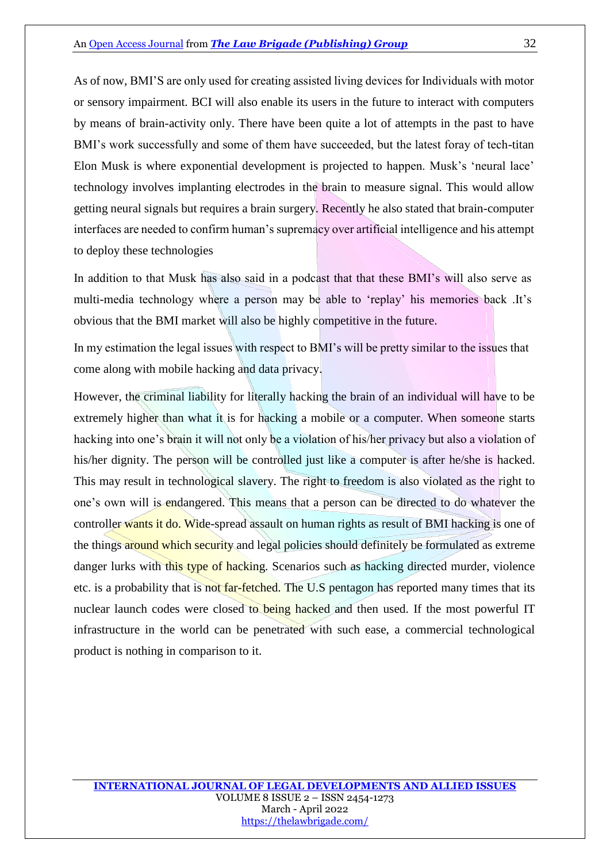As of now, BMI'S are only used for creating assisted living devices for Individuals with motor or sensory impairment. BCI will also enable its users in the future to interact with computers by means of brain-activity only. There have been quite a lot of attempts in the past to have BMI's work successfully and some of them have succeeded, but the latest foray of tech-titan Elon Musk is where exponential development is projected to happen. Musk's 'neural lace' technology involves implanting electrodes in the brain to measure signal. This would allow getting neural signals but requires a brain surgery. Recently he also stated that brain-computer interfaces are needed to confirm human's supremacy over artificial intelligence and his attempt to deploy these technologies

In addition to that Musk has also said in a podcast that that these BMI's will also serve as multi-media technology where a person may be able to 'replay' his memories back .It's obvious that the BMI market will also be highly competitive in the future.

In my estimation the legal issues with respect to BMI's will be pretty similar to the issues that come along with mobile hacking and data privacy.

However, the criminal liability for literally hacking the brain of an individual will have to be extremely higher than what it is for hacking a mobile or a computer. When someone starts hacking into one's brain it will not only be a violation of his/her privacy but also a violation of his/her dignity. The person will be controlled just like a computer is after he/she is hacked. This may result in technological slavery. The right to freedom is also violated as the right to one's own will is endangered. This means that a person can be directed to do whatever the controller wants it do. Wide-spread assault on human rights as result of BMI hacking is one of the things around which security and legal policies should definitely be formulated as extreme danger lurks with this type of hacking. Scenarios such as hacking directed murder, violence etc. is a probability that is not far-fetched. The U.S pentagon has reported many times that its nuclear launch codes were closed to being hacked and then used. If the most powerful IT infrastructure in the world can be penetrated with such ease, a commercial technological product is nothing in comparison to it.